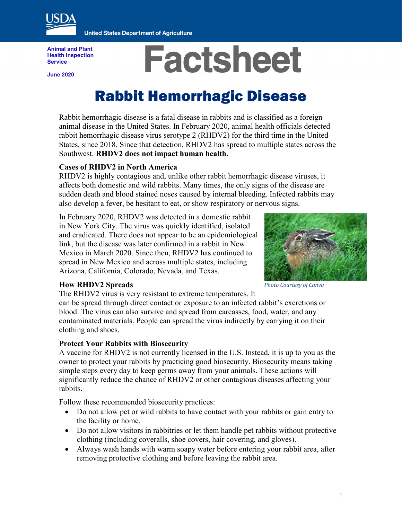

**United States Department of Agriculture** 

**Animal and Plant Health Inspection Service**

**June 2020**

# **Factsheet**

## Rabbit Hemorrhagic Disease

Rabbit hemorrhagic disease is a fatal disease in rabbits and is classified as a foreign animal disease in the United States. In February 2020, animal health officials detected rabbit hemorrhagic disease virus serotype 2 (RHDV2) for the third time in the United States, since 2018. Since that detection, RHDV2 has spread to multiple states across the Southwest. **RHDV2 does not impact human health.**

#### **Cases of RHDV2 in North America**

RHDV2 is highly contagious and, unlike other rabbit hemorrhagic disease viruses, it affects both domestic and wild rabbits. Many times, the only signs of the disease are sudden death and blood stained noses caused by internal bleeding. Infected rabbits may also develop a fever, be hesitant to eat, or show respiratory or nervous signs.

In February 2020, RHDV2 was detected in a domestic rabbit in New York City. The virus was quickly identified, isolated and eradicated. There does not appear to be an epidemiological link, but the disease was later confirmed in a rabbit in New Mexico in March 2020. Since then, RHDV2 has continued to spread in New Mexico and across multiple states, including Arizona, California, Colorado, Nevada, and Texas.



#### **How RHDV2 Spreads**

The RHDV2 virus is very resistant to extreme temperatures. It

can be spread through direct contact or exposure to an infected rabbit's excretions or blood. The virus can also survive and spread from carcasses, food, water, and any contaminated materials. People can spread the virus indirectly by carrying it on their clothing and shoes.

#### **Protect Your Rabbits with Biosecurity**

A vaccine for RHDV2 is not currently licensed in the U.S. Instead, it is up to you as the owner to protect your rabbits by practicing good biosecurity. Biosecurity means taking simple steps every day to keep germs away from your animals. These actions will significantly reduce the chance of RHDV2 or other contagious diseases affecting your rabbits.

Follow these recommended biosecurity practices:

- Do not allow pet or wild rabbits to have contact with your rabbits or gain entry to the facility or home.
- Do not allow visitors in rabbitries or let them handle pet rabbits without protective clothing (including coveralls, shoe covers, hair covering, and gloves).
- Always wash hands with warm soapy water before entering your rabbit area, after removing protective clothing and before leaving the rabbit area.